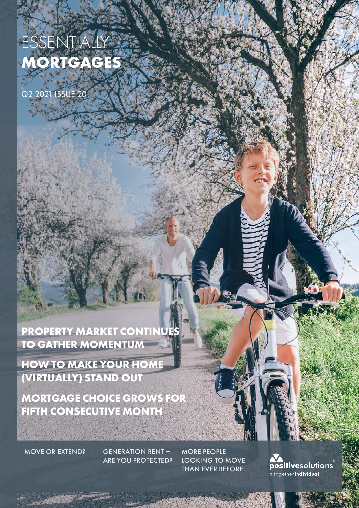ESSENTIALLY **MORTGAGES**

Q2 2021 ISSUE 20

**PROPERTY MARKET CONTINUES TO GATHER MOMENTUM**

**HOW TO MAKE YOUR HOME (VIRTUALLY) STAND OUT**

**MORTGAGE CHOICE GROWS FOR FIFTH CONSECUTIVE MONTH**

MOVE OR EXTEND? GENERATION RENT – ARE YOU PROTECTED? MORE PEOPLE LOOKING TO MOVE THAN EVER BEFORE

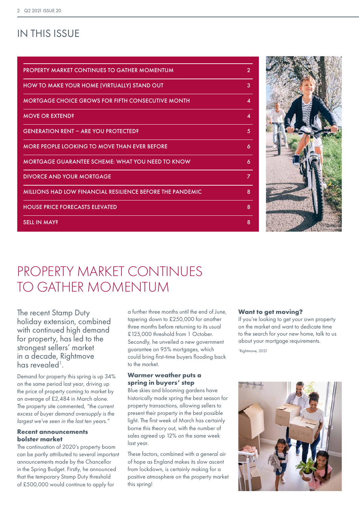## IN THIS ISSUE

| PROPERTY MARKET CONTINUES TO GATHER MOMENTUM              | 2 |
|-----------------------------------------------------------|---|
| HOW TO MAKE YOUR HOME (VIRTUALLY) STAND OUT               | 3 |
| MORTGAGE CHOICE GROWS FOR FIFTH CONSECUTIVE MONTH         | 4 |
| <b>MOVE OR EXTEND?</b>                                    | 4 |
| <b>GENERATION RENT - ARE YOU PROTECTED?</b>               | 5 |
| <b>MORE PEOPLE LOOKING TO MOVE THAN EVER BEFORE</b>       | 6 |
| <b>MORTGAGE GUARANTEE SCHEME: WHAT YOU NEED TO KNOW</b>   | 6 |
| <b>DIVORCE AND YOUR MORTGAGE</b>                          | 7 |
| MILLIONS HAD LOW FINANCIAL RESILIENCE BEFORE THE PANDEMIC | 8 |
| <b>HOUSE PRICE FORECASTS ELEVATED</b>                     | 8 |
| <b>SELL IN MAY?</b>                                       | 8 |



## PROPERTY MARKET CONTINUES TO GATHER MOMENTUM

The recent Stamp Duty holiday extension, combined with continued high demand for property, has led to the strongest sellers' market in a decade, Rightmove has revealed<sup>1</sup>.

Demand for property this spring is up 34% on the same period last year, driving up the price of property coming to market by an average of £2,484 in March alone. The property site commented, *"the current excess of buyer demand oversupply is the largest we've seen in the last ten years."*

## **Recent announcements bolster market**

The continuation of 2020's property boom can be partly attributed to several important announcements made by the Chancellor in the Spring Budget. Firstly, he announced that the temporary Stamp Duty threshold of £500,000 would continue to apply for

a further three months until the end of June, tapering down to £250,000 for another three months before returning to its usual £125,000 threshold from 1 October. Secondly, he unveiled a new government guarantee on 95% mortgages, which could bring first-time buyers flooding back to the market.

## **Warmer weather puts a spring in buyers' step**

Blue skies and blooming gardens have historically made spring the best season for property transactions, allowing sellers to present their property in the best possible light. The first week of March has certainly borne this theory out, with the number of sales agreed up 12% on the same week last year.

These factors, combined with a general air of hope as England makes its slow ascent from lockdown, is certainly making for a positive atmosphere on the property market this spring!

## **Want to get moving?**

If you're looking to get your own property on the market and want to dedicate time to the search for your new home, talk to us about your mortgage requirements.

1 Rightmove, 2021

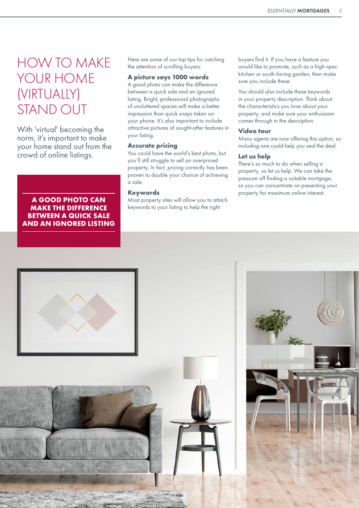## HOW TO MAKE YOUR HOME (VIRTUALLY) STAND OUT

With 'virtual' becoming the norm, it's important to make your home stand out from the crowd of online listings.

**A GOOD PHOTO CAN MAKE THE DIFFERENCE BETWEEN A QUICK SALE AND AN IGNORED LISTING** Here are some of our top tips for catching the attention of scrolling buyers:

### **A picture says 1000 words**

A good photo can make the difference between a quick sale and an ignored listing. Bright, professional photographs of uncluttered spaces will make a better impression than quick snaps taken on your phone. It's also important to include attractive pictures of sought-after features in your listing.

#### **Accurate pricing**

You could have the world's best photo, but you'll still struggle to sell an overpriced property. In fact, pricing correctly has been proven to double your chance of achieving a sale.

#### **Keywords**

Most property sites will allow you to attach keywords to your listing to help the right

buyers find it. If you have a feature you would like to promote, such as a high-spec kitchen or south-facing garden, then make sure you include these.

You should also include these keywords in your property description. Think about the characteristics you love about your property, and make sure your enthusiasm comes through in the description.

#### **Video tour**

Many agents are now offering this option, so including one could help you seal the deal.

## **Let us help**

There's so much to do when selling a property, so let us help. We can take the pressure off finding a suitable mortgage, so you can concentrate on presenting your property for maximum online interest.

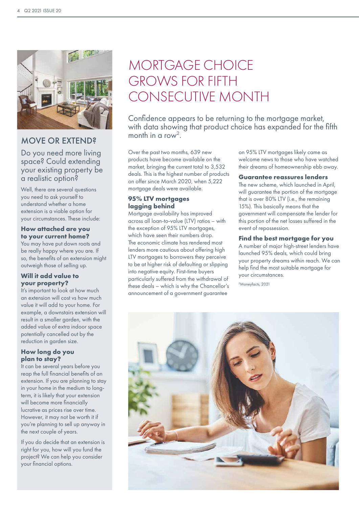

## . MOVE OR EXTEND?

## Do you need more living space? Could extending your existing property be a realistic option?

Well, there are several questions you need to ask yourself to understand whether a home extension is a viable option for your circumstances. These include:

### **How attached are you to your current home?**

You may have put down roots and be really happy where you are. If so, the benefits of an extension might outweigh those of selling up.

## **Will it add value to your property?**

It's important to look at how much an extension will cost vs how much value it will add to your home. For example, a downstairs extension will result in a smaller garden, with the added value of extra indoor space potentially cancelled out by the reduction in garden size.

## **How long do you plan to stay?**

It can be several years before you reap the full financial benefits of an extension. If you are planning to stay in your home in the medium to longterm, it is likely that your extension will become more financially lucrative as prices rise over time. However, it may not be worth it if you're planning to sell up anyway in the next couple of years.

If you do decide that an extension is right for you, how will you fund the project? We can help you consider your financial options.

## MORTGAGE CHOICE GROWS FOR FIFTH CONSECUTIVE MONTH

Confidence appears to be returning to the mortgage market, with data showing that product choice has expanded for the fifth month in a row<sup>2</sup>

Over the past two months, 639 new products have become available on the market, bringing the current total to 3,532 deals. This is the highest number of products on offer since March 2020, when 5,222 mortgage deals were available.

## **95% LTV mortgages lagging behind**

Mortgage availability has improved across all loan-to-value (LTV) ratios – with the exception of 95% LTV mortgages, which have seen their numbers drop. The economic climate has rendered most lenders more cautious about offering high LTV mortgages to borrowers they perceive to be at higher risk of defaulting or slipping into negative equity. First-time buyers particularly suffered from the withdrawal of these deals – which is why the Chancellor's announcement of a government guarantee

on 95% LTV mortgages likely came as welcome news to those who have watched their dreams of homeownership ebb away.

## **Guarantee reassures lenders**

The new scheme, which launched in April, will guarantee the portion of the mortgage that is over 80% LTV (i.e., the remaining 15%). This basically means that the government will compensate the lender for this portion of the net losses suffered in the event of repossession.

## **Find the best mortgage for you**

A number of major high-street lenders have launched 95% deals, which could bring your property dreams within reach. We can help find the most suitable mortgage for your circumstances.

2 Moneyfacts, 2021

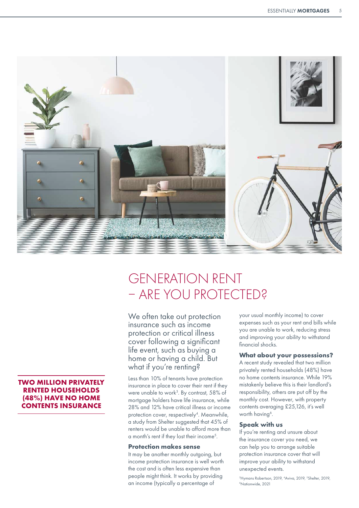

## GENERATION RENT – ARE YOU PROTECTED?

We often take out protection insurance such as income protection or critical illness cover following a significant life event, such as buying a home or having a child. But what if you're renting?

Less than 10% of tenants have protection insurance in place to cover their rent if they were unable to work<sup>3</sup>. By contrast, 58% of mortgage holders have life insurance, while 28% and 12% have critical illness or income protection cover, respectively<sup>4</sup>. Meanwhile, a study from Shelter suggested that 45% of renters would be unable to afford more than a month's rent if they lost their income<sup>5</sup>.

#### **Protection makes sense**

It may be another monthly outgoing, but income protection insurance is well worth the cost and is often less expensive than people might think. It works by providing an income (typically a percentage of

your usual monthly income) to cover expenses such as your rent and bills while you are unable to work, reducing stress and improving your ability to withstand financial shocks.

#### **What about your possessions?**

A recent study revealed that two million privately rented households (48%) have no home contents insurance. While 19% mistakenly believe this is their landlord's responsibility, others are put off by the monthly cost. However, with property contents averaging £25,126, it's well worth having<sup>6</sup>.

#### **Speak with us**

If you're renting and unsure about the insurance cover you need, we can help you to arrange suitable protection insurance cover that will improve your ability to withstand unexpected events.

<sup>3</sup>Hymans Robertson, 2019, <sup>4</sup>Aviva, 2019, <sup>5</sup>Shelter, 2019,<br><sup>6</sup>Nationwide, 2021 Nationwide, 2021

## **TWO MILLION PRIVATELY RENTED HOUSEHOLDS (48%) HAVE NO HOME CONTENTS INSURANCE**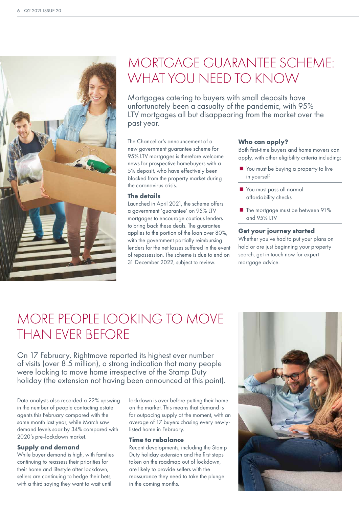

# MORTGAGE GUARANTEE SCHEME: WHAT YOU NEED TO KNOW

Mortgages catering to buyers with small deposits have unfortunately been a casualty of the pandemic, with 95% LTV mortgages all but disappearing from the market over the past year.

The Chancellor's announcement of a new government guarantee scheme for 95% LTV mortgages is therefore welcome news for prospective homebuyers with a 5% deposit, who have effectively been blocked from the property market during the coronavirus crisis.

## **The details**

Launched in April 2021, the scheme offers a government 'guarantee' on 95% LTV mortgages to encourage cautious lenders to bring back these deals. The guarantee applies to the portion of the loan over 80%, with the government partially reimbursing lenders for the net losses suffered in the event of repossession. The scheme is due to end on 31 December 2022, subject to review.

## **Who can apply?**

Both first-time buyers and home movers can apply, with other eligibility criteria including:

- You must be buying a property to live in yourself
- You must pass all normal affordability checks
- **The mortgage must be between 91%** and 95% LTV

### **Get your journey started**

Whether you've had to put your plans on hold or are just beginning your property search, get in touch now for expert mortgage advice.

## MORE PEOPLE LOOKING TO MOVE THAN EVER BEFORE

On 17 February, Rightmove reported its highest ever number of visits (over 8.5 million), a strong indication that many people were looking to move home irrespective of the Stamp Duty holiday (the extension not having been announced at this point).

Data analysts also recorded a 22% upswing in the number of people contacting estate agents this February compared with the same month last year, while March saw demand levels soar by 34% compared with 2020's pre-lockdown market.

## **Supply and demand**

While buyer demand is high, with families continuing to reassess their priorities for their home and lifestyle after lockdown, sellers are continuing to hedge their bets, with a third saying they want to wait until

lockdown is over before putting their home on the market. This means that demand is far outpacing supply at the moment, with an average of 17 buyers chasing every newlylisted home in February.

#### **Time to rebalance**

Recent developments, including the Stamp Duty holiday extension and the first steps taken on the roadmap out of lockdown, are likely to provide sellers with the reassurance they need to take the plunge in the coming months.

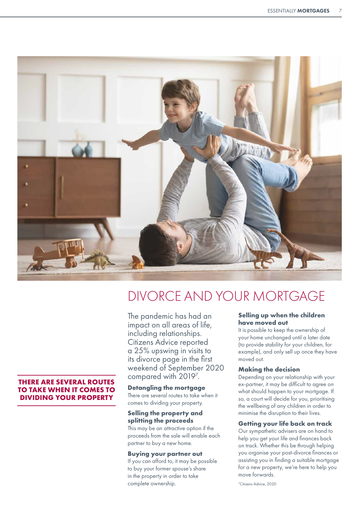

## DIVORCE AND YOUR MORTGAGE

The pandemic has had an impact on all areas of life, including relationships. Citizens Advice reported a 25% upswing in visits to its divorce page in the first weekend of September 2020 compared with 20197 .

### **Detangling the mortgage**

There are several routes to take when it comes to dividing your property.

#### **Selling the property and splitting the proceeds**

This may be an attractive option if the proceeds from the sale will enable each partner to buy a new home.

#### **Buying your partner out**

If you can afford to, it may be possible to buy your former spouse's share in the property in order to take complete ownership.

### **Selling up when the children have moved out**

It is possible to keep the ownership of your home unchanged until a later date (to provide stability for your children, for example), and only sell up once they have moved out.

#### **Making the decision**

Depending on your relationship with your ex-partner, it may be difficult to agree on what should happen to your mortgage. If so, a court will decide for you, prioritising the wellbeing of any children in order to minimise the disruption to their lives.

### **Getting your life back on track**

Our sympathetic advisers are on hand to help you get your life and finances back on track. Whether this be through helping you organise your post-divorce finances or assisting you in finding a suitable mortgage for a new property, we're here to help you move forwards.

7 Citizens Advice, 2020

## **THERE ARE SEVERAL ROUTES TO TAKE WHEN IT COMES TO DIVIDING YOUR PROPERTY**